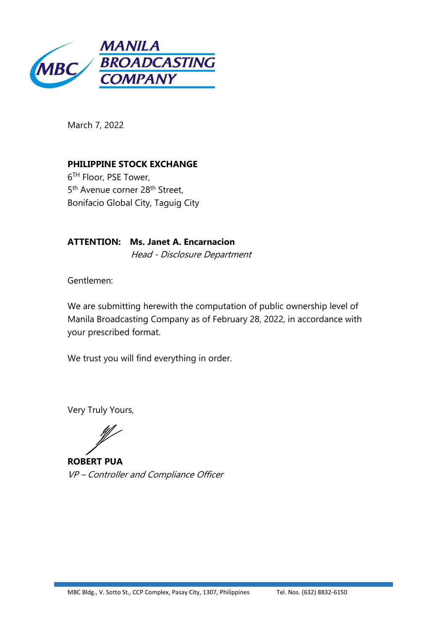

March 7, 2022

**PHILIPPINE STOCK EXCHANGE** 6TH Floor, PSE Tower, 5<sup>th</sup> Avenue corner 28<sup>th</sup> Street, Bonifacio Global City, Taguig City

**ATTENTION: Ms. Janet A. Encarnacion** Head - Disclosure Department

Gentlemen:

We are submitting herewith the computation of public ownership level of Manila Broadcasting Company as of February 28, 2022, in accordance with your prescribed format.

We trust you will find everything in order.

Very Truly Yours,

**ROBERT PUA** VP - Controller and Compliance Officer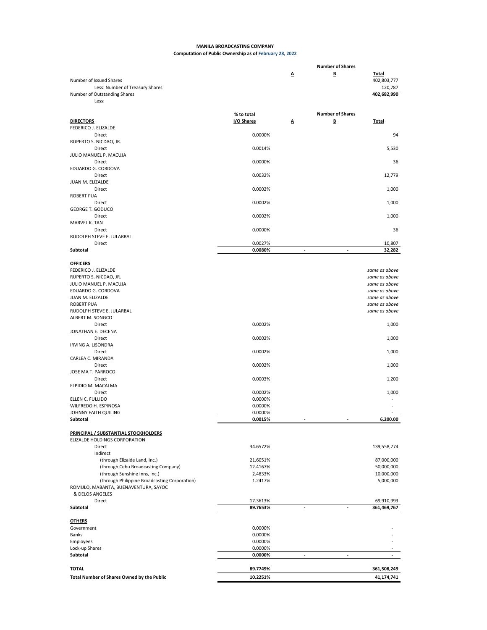## **MANILA BROADCASTING COMPANY Computation of Public Ownership as of February 28, 2022**

|                                               |            |                          | <b>Number of Shares</b> |               |
|-----------------------------------------------|------------|--------------------------|-------------------------|---------------|
|                                               |            | Δ                        | В                       | <b>Total</b>  |
| Number of Issued Shares                       |            |                          |                         | 402,803,777   |
| Less: Number of Treasury Shares               |            |                          |                         | 120,787       |
| Number of Outstanding Shares                  |            |                          |                         | 402,682,990   |
| Less:                                         |            |                          |                         |               |
|                                               |            |                          |                         |               |
|                                               | % to total |                          | <b>Number of Shares</b> |               |
| <b>DIRECTORS</b>                              | I/O Shares | Δ                        | B                       | <b>Total</b>  |
| FEDERICO J. ELIZALDE                          |            |                          |                         |               |
| Direct<br>RUPERTO S. NICDAO, JR.              | 0.0000%    |                          |                         | 94            |
| Direct                                        | 0.0014%    |                          |                         | 5,530         |
| JULIO MANUEL P. MACUJA                        |            |                          |                         |               |
| Direct                                        | 0.0000%    |                          |                         | 36            |
| EDUARDO G. CORDOVA                            |            |                          |                         |               |
| Direct                                        | 0.0032%    |                          |                         | 12,779        |
| JUAN M. ELIZALDE                              |            |                          |                         |               |
| Direct                                        | 0.0002%    |                          |                         | 1,000         |
| <b>ROBERT PUA</b>                             |            |                          |                         |               |
| Direct                                        | 0.0002%    |                          |                         | 1,000         |
| <b>GEORGE T. GODUCO</b>                       |            |                          |                         |               |
| Direct                                        | 0.0002%    |                          |                         | 1,000         |
| MARVEL K. TAN                                 |            |                          |                         |               |
| Direct                                        | 0.0000%    |                          |                         | 36            |
| RUDOLPH STEVE E. JULARBAL                     |            |                          |                         |               |
| Direct                                        | 0.0027%    |                          |                         | 10,807        |
| Subtotal                                      | 0.0080%    | $\overline{\phantom{a}}$ | ÷                       | 32,282        |
|                                               |            |                          |                         |               |
| <b>OFFICERS</b>                               |            |                          |                         |               |
| FEDERICO J. ELIZALDE                          |            |                          |                         | same as above |
| RUPERTO S. NICDAO, JR.                        |            |                          |                         | same as above |
| JULIO MANUEL P. MACUJA                        |            |                          |                         | same as above |
| EDUARDO G. CORDOVA                            |            |                          |                         | same as above |
| JUAN M. ELIZALDE                              |            |                          |                         | same as above |
| <b>ROBERT PUA</b>                             |            |                          |                         | same as above |
| RUDOLPH STEVE E. JULARBAL                     |            |                          |                         | same as above |
| ALBERT M. SONGCO                              |            |                          |                         |               |
| Direct                                        | 0.0002%    |                          |                         | 1,000         |
| JONATHAN E. DECENA                            |            |                          |                         |               |
| Direct                                        | 0.0002%    |                          |                         | 1,000         |
| <b>IRVING A. LISONDRA</b>                     |            |                          |                         |               |
| Direct                                        | 0.0002%    |                          |                         | 1,000         |
| CARLEA C. MIRANDA<br>Direct                   |            |                          |                         |               |
| JOSE MA T. PARROCO                            | 0.0002%    |                          |                         | 1,000         |
| Direct                                        | 0.0003%    |                          |                         |               |
| ELPIDIO M. MACALMA                            |            |                          |                         | 1,200         |
| Direct                                        | 0.0002%    |                          |                         | 1,000         |
| ELLEN C. FULLIDO                              | 0.0000%    |                          |                         |               |
| WILFREDO H. ESPINOSA                          | 0.0000%    |                          |                         |               |
| JOHNNY FAITH QUILING                          | 0.0000%    |                          |                         |               |
| Subtotal                                      | 0.0015%    |                          |                         | 6,200.00      |
|                                               |            |                          |                         |               |
| PRINCIPAL / SUBSTANTIAL STOCKHOLDERS          |            |                          |                         |               |
| ELIZALDE HOLDINGS CORPORATION                 |            |                          |                         |               |
| Direct                                        | 34.6572%   |                          |                         | 139,558,774   |
| Indirect                                      |            |                          |                         |               |
| (through Elizalde Land, Inc.)                 | 21.6051%   |                          |                         | 87,000,000    |
| (through Cebu Broadcasting Company)           | 12.4167%   |                          |                         | 50,000,000    |
| (through Sunshine Inns, Inc.)                 | 2.4833%    |                          |                         | 10,000,000    |
| (through Philippine Broadcasting Corporation) | 1.2417%    |                          |                         | 5,000,000     |
| ROMULO, MABANTA, BUENAVENTURA, SAYOC          |            |                          |                         |               |
| & DELOS ANGELES                               |            |                          |                         |               |
| Direct                                        | 17.3613%   |                          |                         | 69,910,993    |
| Subtotal                                      | 89.7653%   |                          |                         | 361,469,767   |
|                                               |            |                          |                         |               |
| <b>OTHERS</b>                                 |            |                          |                         |               |
| Government                                    | 0.0000%    |                          |                         |               |
| Banks                                         | 0.0000%    |                          |                         |               |
| Employees                                     | 0.0000%    |                          |                         |               |
| Lock-up Shares                                | 0.0000%    |                          |                         |               |
| Subtotal                                      | 0.0000%    |                          |                         |               |
|                                               |            |                          |                         |               |
| <b>TOTAL</b>                                  | 89.7749%   |                          |                         | 361,508,249   |
| Total Number of Shares Owned by the Public    | 10.2251%   |                          |                         | 41,174,741    |